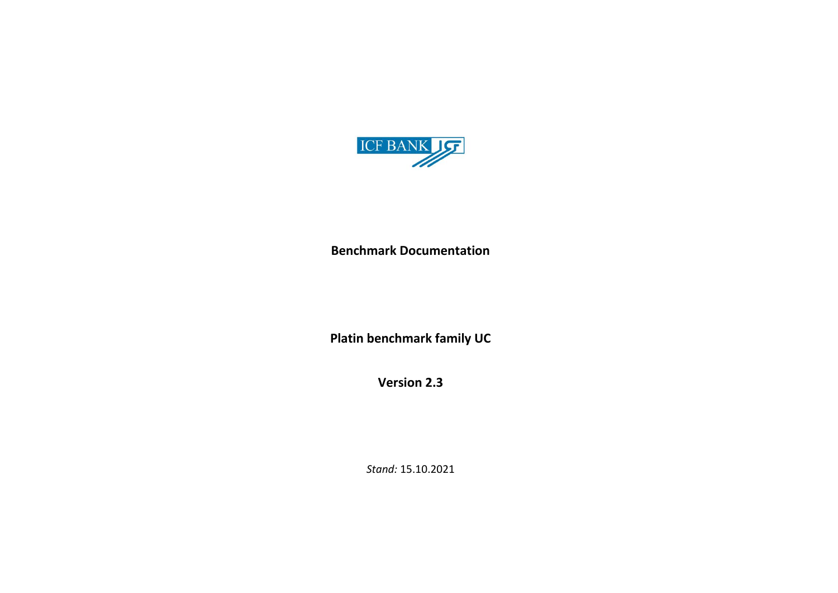

**Benchmark Documentation**

**Platin benchmark family UC**

**Version 2.3**

*Stand:* 15.10.2021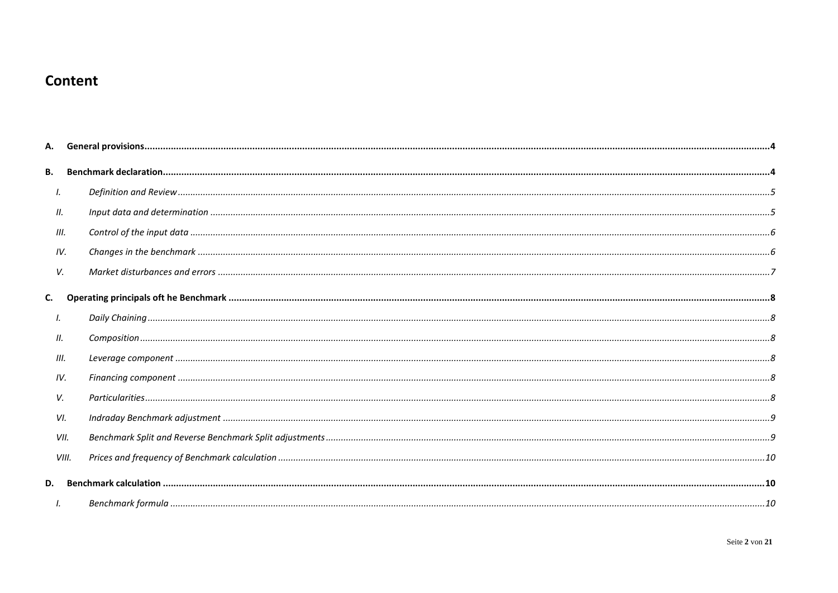# Content

| В.   |       |  |
|------|-------|--|
| Ι.   |       |  |
| П.   |       |  |
| III. |       |  |
| IV.  |       |  |
| V.   |       |  |
| C.   |       |  |
| Ι.   |       |  |
| 11.  |       |  |
| III. |       |  |
| IV.  |       |  |
| V.   |       |  |
| VI.  |       |  |
|      | VII.  |  |
|      | VIII. |  |
| D.   |       |  |
|      |       |  |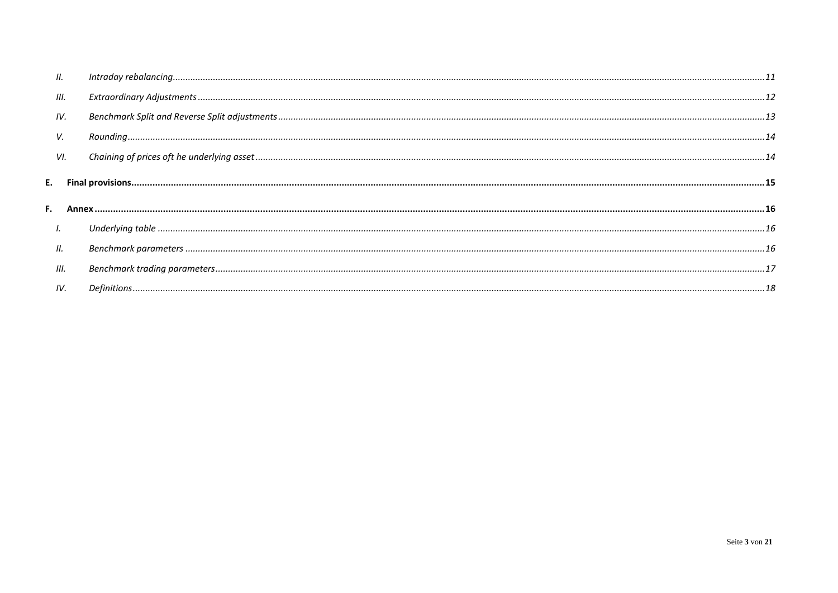| Ш.   |  |
|------|--|
| III. |  |
| IV.  |  |
| V.   |  |
| VI.  |  |
|      |  |
|      |  |
| I.   |  |
| Ш.   |  |
| III. |  |
| IV.  |  |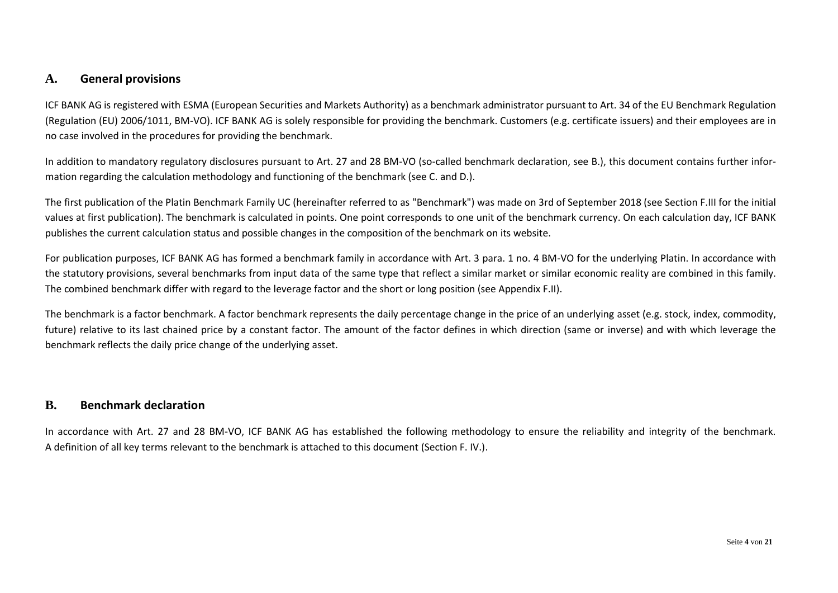### <span id="page-3-0"></span>**A. General provisions**

ICF BANK AG is registered with ESMA (European Securities and Markets Authority) as a benchmark administrator pursuant to Art. 34 of the EU Benchmark Regulation (Regulation (EU) 2006/1011, BM-VO). ICF BANK AG is solely responsible for providing the benchmark. Customers (e.g. certificate issuers) and their employees are in no case involved in the procedures for providing the benchmark.

In addition to mandatory regulatory disclosures pursuant to Art. 27 and 28 BM-VO (so-called benchmark declaration, see B.), this document contains further information regarding the calculation methodology and functioning of the benchmark (see C. and D.).

The first publication of the Platin Benchmark Family UC (hereinafter referred to as "Benchmark") was made on 3rd of September 2018 (see Section F.III for the initial values at first publication). The benchmark is calculated in points. One point corresponds to one unit of the benchmark currency. On each calculation day, ICF BANK publishes the current calculation status and possible changes in the composition of the benchmark on its website.

For publication purposes, ICF BANK AG has formed a benchmark family in accordance with Art. 3 para. 1 no. 4 BM-VO for the underlying Platin. In accordance with the statutory provisions, several benchmarks from input data of the same type that reflect a similar market or similar economic reality are combined in this family. The combined benchmark differ with regard to the leverage factor and the short or long position (see Appendix F.II).

The benchmark is a factor benchmark. A factor benchmark represents the daily percentage change in the price of an underlying asset (e.g. stock, index, commodity, future) relative to its last chained price by a constant factor. The amount of the factor defines in which direction (same or inverse) and with which leverage the benchmark reflects the daily price change of the underlying asset.

### <span id="page-3-1"></span>**B. Benchmark declaration**

In accordance with Art. 27 and 28 BM-VO, ICF BANK AG has established the following methodology to ensure the reliability and integrity of the benchmark. A definition of all key terms relevant to the benchmark is attached to this document (Section F. IV.).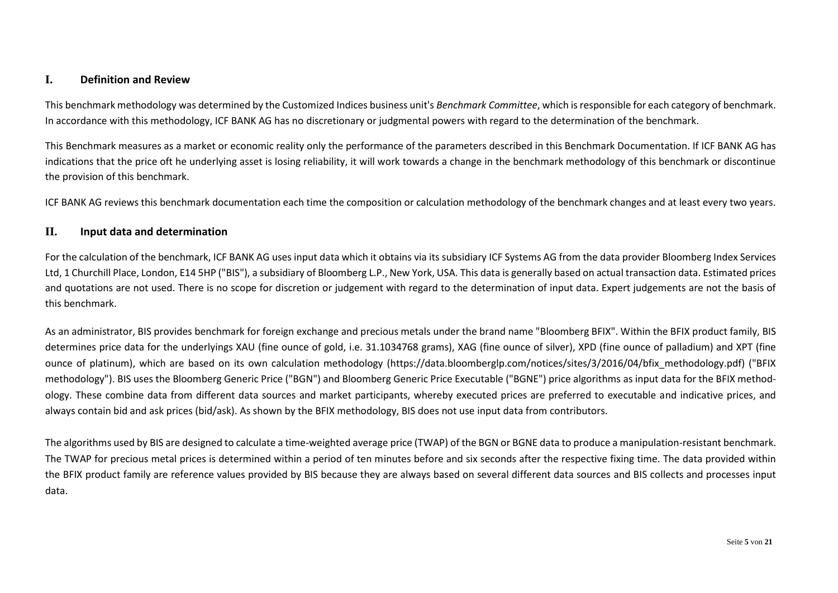### <span id="page-4-0"></span>**I. Definition and Review**

This benchmark methodology was determined by the Customized Indices business unit's *Benchmark Committee*, which is responsible for each category of benchmark. In accordance with this methodology, ICF BANK AG has no discretionary or judgmental powers with regard to the determination of the benchmark.

This Benchmark measures as a market or economic reality only the performance of the parameters described in this Benchmark Documentation. If ICF BANK AG has indications that the price oft he underlying asset is losing reliability, it will work towards a change in the benchmark methodology of this benchmark or discontinue the provision of this benchmark.

ICF BANK AG reviews this benchmark documentation each time the composition or calculation methodology of the benchmark changes and at least every two years.

#### <span id="page-4-1"></span>**II. Input data and determination**

For the calculation of the benchmark, ICF BANK AG uses input data which it obtains via its subsidiary ICF Systems AG from the data provider Bloomberg Index Services Ltd, 1 Churchill Place, London, E14 5HP ("BIS"), a subsidiary of Bloomberg L.P., New York, USA. This data is generally based on actual transaction data. Estimated prices and quotations are not used. There is no scope for discretion or judgement with regard to the determination of input data. Expert judgements are not the basis of this benchmark.

As an administrator, BIS provides benchmark for foreign exchange and precious metals under the brand name "Bloomberg BFIX". Within the BFIX product family, BIS determines price data for the underlyings XAU (fine ounce of gold, i.e. 31.1034768 grams), XAG (fine ounce of silver), XPD (fine ounce of palladium) and XPT (fine ounce of platinum), which are based on its own calculation methodology (https://data.bloomberglp.com/notices/sites/3/2016/04/bfix\_methodology.pdf) ("BFIX methodology"). BIS uses the Bloomberg Generic Price ("BGN") and Bloomberg Generic Price Executable ("BGNE") price algorithms as input data for the BFIX methodology. These combine data from different data sources and market participants, whereby executed prices are preferred to executable and indicative prices, and always contain bid and ask prices (bid/ask). As shown by the BFIX methodology, BIS does not use input data from contributors.

The algorithms used by BIS are designed to calculate a time-weighted average price (TWAP) of the BGN or BGNE data to produce a manipulation-resistant benchmark. The TWAP for precious metal prices is determined within a period of ten minutes before and six seconds after the respective fixing time. The data provided within the BFIX product family are reference values provided by BIS because they are always based on several different data sources and BIS collects and processes input data.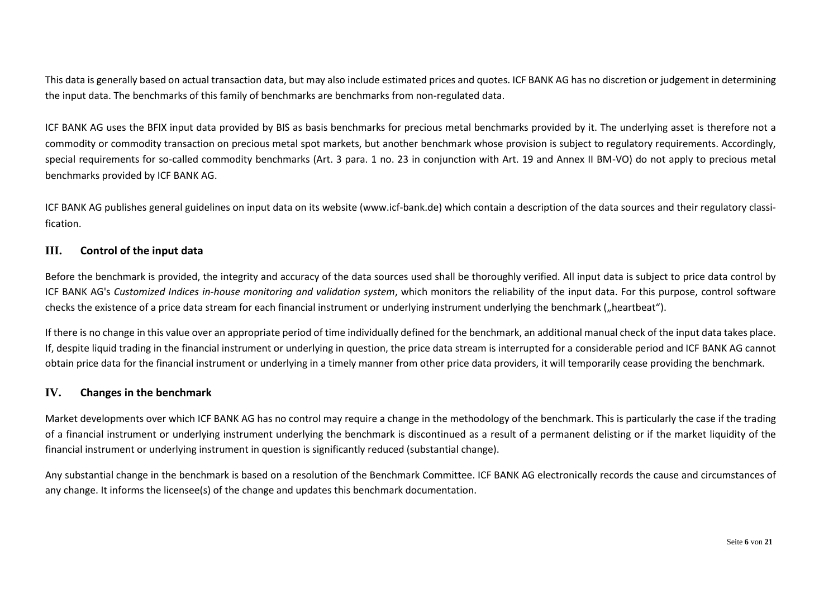This data is generally based on actual transaction data, but may also include estimated prices and quotes. ICF BANK AG has no discretion or judgement in determining the input data. The benchmarks of this family of benchmarks are benchmarks from non-regulated data.

ICF BANK AG uses the BFIX input data provided by BIS as basis benchmarks for precious metal benchmarks provided by it. The underlying asset is therefore not a commodity or commodity transaction on precious metal spot markets, but another benchmark whose provision is subject to regulatory requirements. Accordingly, special requirements for so-called commodity benchmarks (Art. 3 para. 1 no. 23 in conjunction with Art. 19 and Annex II BM-VO) do not apply to precious metal benchmarks provided by ICF BANK AG.

ICF BANK AG publishes general guidelines on input data on its website [\(www.icf-bank.de\)](http://www.icf-bank.de/) which contain a description of the data sources and their regulatory classification.

### <span id="page-5-0"></span>**III. Control of the input data**

Before the benchmark is provided, the integrity and accuracy of the data sources used shall be thoroughly verified. All input data is subject to price data control by ICF BANK AG's *Customized Indices in-house monitoring and validation system*, which monitors the reliability of the input data. For this purpose, control software checks the existence of a price data stream for each financial instrument or underlying instrument underlying the benchmark ("heartbeat").

If there is no change in this value over an appropriate period of time individually defined for the benchmark, an additional manual check of the input data takes place. If, despite liquid trading in the financial instrument or underlying in question, the price data stream is interrupted for a considerable period and ICF BANK AG cannot obtain price data for the financial instrument or underlying in a timely manner from other price data providers, it will temporarily cease providing the benchmark.

#### <span id="page-5-1"></span>**IV. Changes in the benchmark**

Market developments over which ICF BANK AG has no control may require a change in the methodology of the benchmark. This is particularly the case if the trading of a financial instrument or underlying instrument underlying the benchmark is discontinued as a result of a permanent delisting or if the market liquidity of the financial instrument or underlying instrument in question is significantly reduced (substantial change).

Any substantial change in the benchmark is based on a resolution of the Benchmark Committee. ICF BANK AG electronically records the cause and circumstances of any change. It informs the licensee(s) of the change and updates this benchmark documentation.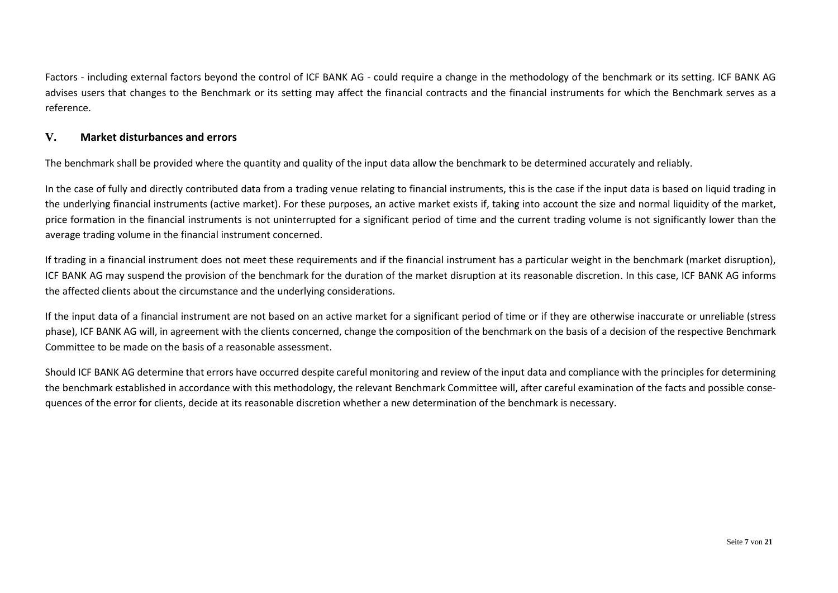Factors - including external factors beyond the control of ICF BANK AG - could require a change in the methodology of the benchmark or its setting. ICF BANK AG advises users that changes to the Benchmark or its setting may affect the financial contracts and the financial instruments for which the Benchmark serves as a reference.

### <span id="page-6-0"></span>**V. Market disturbances and errors**

The benchmark shall be provided where the quantity and quality of the input data allow the benchmark to be determined accurately and reliably.

In the case of fully and directly contributed data from a trading venue relating to financial instruments, this is the case if the input data is based on liquid trading in the underlying financial instruments (active market). For these purposes, an active market exists if, taking into account the size and normal liquidity of the market, price formation in the financial instruments is not uninterrupted for a significant period of time and the current trading volume is not significantly lower than the average trading volume in the financial instrument concerned.

If trading in a financial instrument does not meet these requirements and if the financial instrument has a particular weight in the benchmark (market disruption), ICF BANK AG may suspend the provision of the benchmark for the duration of the market disruption at its reasonable discretion. In this case, ICF BANK AG informs the affected clients about the circumstance and the underlying considerations.

If the input data of a financial instrument are not based on an active market for a significant period of time or if they are otherwise inaccurate or unreliable (stress phase), ICF BANK AG will, in agreement with the clients concerned, change the composition of the benchmark on the basis of a decision of the respective Benchmark Committee to be made on the basis of a reasonable assessment.

Should ICF BANK AG determine that errors have occurred despite careful monitoring and review of the input data and compliance with the principles for determining the benchmark established in accordance with this methodology, the relevant Benchmark Committee will, after careful examination of the facts and possible consequences of the error for clients, decide at its reasonable discretion whether a new determination of the benchmark is necessary.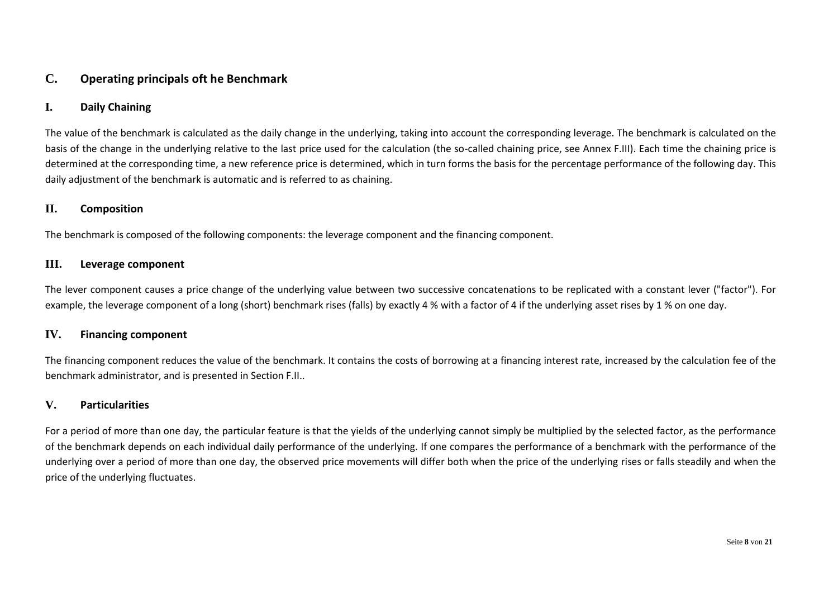## <span id="page-7-0"></span>**C. Operating principals oft he Benchmark**

### <span id="page-7-1"></span>**I. Daily Chaining**

The value of the benchmark is calculated as the daily change in the underlying, taking into account the corresponding leverage. The benchmark is calculated on the basis of the change in the underlying relative to the last price used for the calculation (the so-called chaining price, see Annex F.III). Each time the chaining price is determined at the corresponding time, a new reference price is determined, which in turn forms the basis for the percentage performance of the following day. This daily adjustment of the benchmark is automatic and is referred to as chaining.

#### <span id="page-7-2"></span>**II. Composition**

The benchmark is composed of the following components: the leverage component and the financing component.

#### <span id="page-7-3"></span>**III. Leverage component**

The lever component causes a price change of the underlying value between two successive concatenations to be replicated with a constant lever ("factor"). For example, the leverage component of a long (short) benchmark rises (falls) by exactly 4 % with a factor of 4 if the underlying asset rises by 1 % on one day.

#### <span id="page-7-4"></span>**IV. Financing component**

The financing component reduces the value of the benchmark. It contains the costs of borrowing at a financing interest rate, increased by the calculation fee of the benchmark administrator, and is presented in Section F.II..

### <span id="page-7-5"></span>**V. Particularities**

For a period of more than one day, the particular feature is that the yields of the underlying cannot simply be multiplied by the selected factor, as the performance of the benchmark depends on each individual daily performance of the underlying. If one compares the performance of a benchmark with the performance of the underlying over a period of more than one day, the observed price movements will differ both when the price of the underlying rises or falls steadily and when the price of the underlying fluctuates.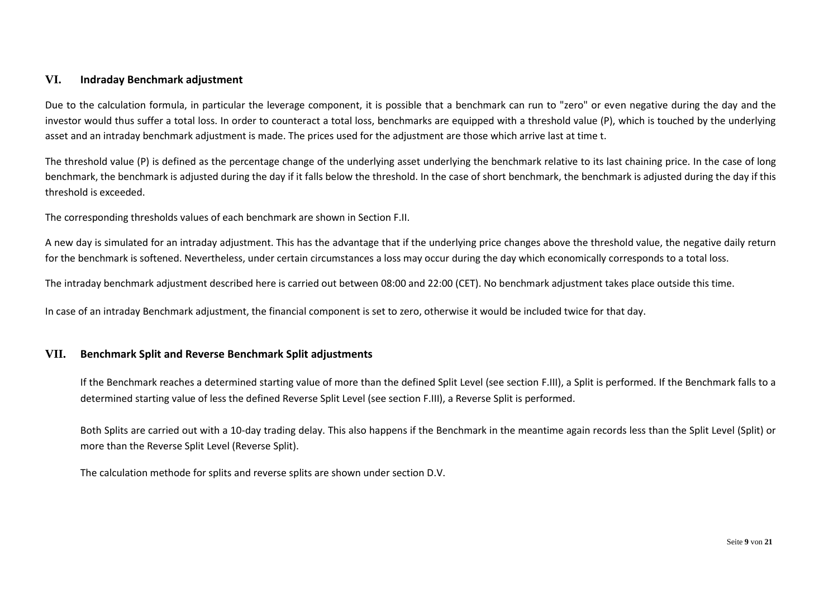### <span id="page-8-0"></span>**VI. Indraday Benchmark adjustment**

Due to the calculation formula, in particular the leverage component, it is possible that a benchmark can run to "zero" or even negative during the day and the investor would thus suffer a total loss. In order to counteract a total loss, benchmarks are equipped with a threshold value (P), which is touched by the underlying asset and an intraday benchmark adjustment is made. The prices used for the adjustment are those which arrive last at time t.

The threshold value (P) is defined as the percentage change of the underlying asset underlying the benchmark relative to its last chaining price. In the case of long benchmark, the benchmark is adjusted during the day if it falls below the threshold. In the case of short benchmark, the benchmark is adjusted during the day if this threshold is exceeded.

The corresponding thresholds values of each benchmark are shown in Section F.II.

A new day is simulated for an intraday adjustment. This has the advantage that if the underlying price changes above the threshold value, the negative daily return for the benchmark is softened. Nevertheless, under certain circumstances a loss may occur during the day which economically corresponds to a total loss.

The intraday benchmark adjustment described here is carried out between 08:00 and 22:00 (CET). No benchmark adjustment takes place outside this time.

In case of an intraday Benchmark adjustment, the financial component is set to zero, otherwise it would be included twice for that day.

#### <span id="page-8-1"></span>**VII. Benchmark Split and Reverse Benchmark Split adjustments**

If the Benchmark reaches a determined starting value of more than the defined Split Level (see section F.III), a Split is performed. If the Benchmark falls to a determined starting value of less the defined Reverse Split Level (see section F.III), a Reverse Split is performed.

Both Splits are carried out with a 10-day trading delay. This also happens if the Benchmark in the meantime again records less than the Split Level (Split) or more than the Reverse Split Level (Reverse Split).

The calculation methode for splits and reverse splits are shown under section D.V.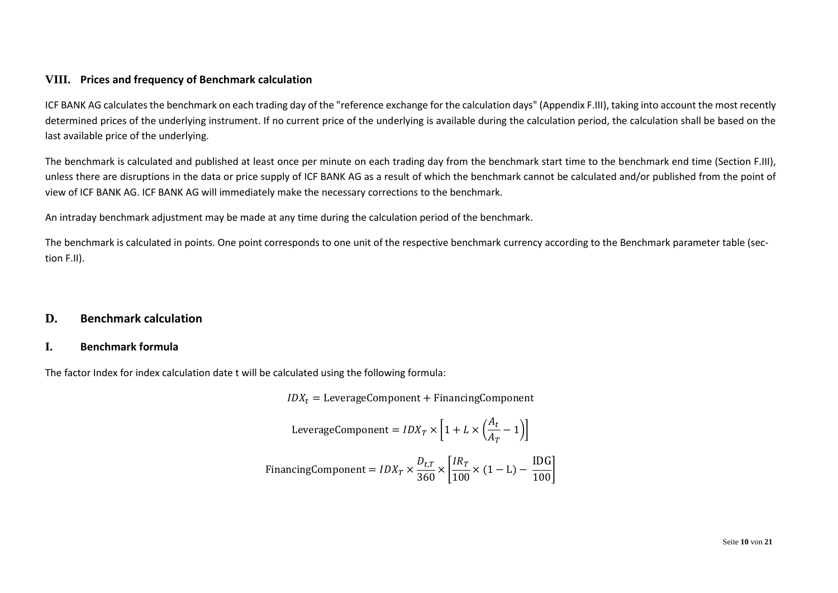### <span id="page-9-0"></span>**VIII. Prices and frequency of Benchmark calculation**

ICF BANK AG calculates the benchmark on each trading day of the "reference exchange for the calculation days" (Appendix F.III), taking into account the most recently determined prices of the underlying instrument. If no current price of the underlying is available during the calculation period, the calculation shall be based on the last available price of the underlying.

The benchmark is calculated and published at least once per minute on each trading day from the benchmark start time to the benchmark end time (Section F.III), unless there are disruptions in the data or price supply of ICF BANK AG as a result of which the benchmark cannot be calculated and/or published from the point of view of ICF BANK AG. ICF BANK AG will immediately make the necessary corrections to the benchmark.

An intraday benchmark adjustment may be made at any time during the calculation period of the benchmark.

The benchmark is calculated in points. One point corresponds to one unit of the respective benchmark currency according to the Benchmark parameter table (section F.II).

### <span id="page-9-1"></span>**D. Benchmark calculation**

### <span id="page-9-2"></span>**I. Benchmark formula**

The factor Index for index calculation date t will be calculated using the following formula:

 $IDX_t = \text{LeverageComponent} + \text{Financial Component}$ 

LeverageComponent = 
$$
IDX_T \times \left[1 + L \times \left(\frac{A_t}{A_T} - 1\right)\right]
$$

\nFinancial component =  $IDX_T \times \frac{D_{t,T}}{360} \times \left[\frac{IR_T}{100} \times (1 - L) - \frac{IDG}{100}\right]$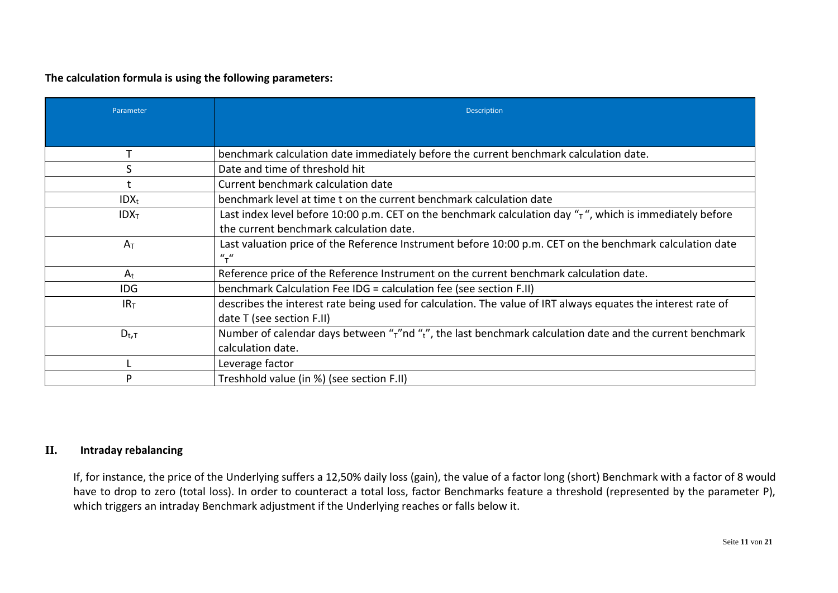**The calculation formula is using the following parameters:**

| Parameter        | <b>Description</b>                                                                                                                                           |
|------------------|--------------------------------------------------------------------------------------------------------------------------------------------------------------|
|                  |                                                                                                                                                              |
|                  | benchmark calculation date immediately before the current benchmark calculation date.                                                                        |
| S                | Date and time of threshold hit                                                                                                                               |
|                  | Current benchmark calculation date                                                                                                                           |
| $IDX_t$          | benchmark level at time t on the current benchmark calculation date                                                                                          |
| IDX <sub>T</sub> | Last index level before 10:00 p.m. CET on the benchmark calculation day $\pi$ , which is immediately before                                                  |
|                  | the current benchmark calculation date.                                                                                                                      |
| $A_T$            | Last valuation price of the Reference Instrument before 10:00 p.m. CET on the benchmark calculation date<br>$^{\prime\prime}$ <sub>T</sub> $^{\prime\prime}$ |
| $A_t$            | Reference price of the Reference Instrument on the current benchmark calculation date.                                                                       |
| IDG.             | benchmark Calculation Fee IDG = calculation fee (see section F.II)                                                                                           |
| IR <sub>T</sub>  | describes the interest rate being used for calculation. The value of IRT always equates the interest rate of                                                 |
|                  | date T (see section F.II)                                                                                                                                    |
| $D_{t,T}$        | Number of calendar days between " $\tau$ "nd " $\tau$ ", the last benchmark calculation date and the current benchmark                                       |
|                  | calculation date.                                                                                                                                            |
|                  | Leverage factor                                                                                                                                              |
| ח                | Treshhold value (in %) (see section F.II)                                                                                                                    |

## <span id="page-10-0"></span>**II. Intraday rebalancing**

If, for instance, the price of the Underlying suffers a 12,50% daily loss (gain), the value of a factor long (short) Benchmark with a factor of 8 would have to drop to zero (total loss). In order to counteract a total loss, factor Benchmarks feature a threshold (represented by the parameter P), which triggers an intraday Benchmark adjustment if the Underlying reaches or falls below it.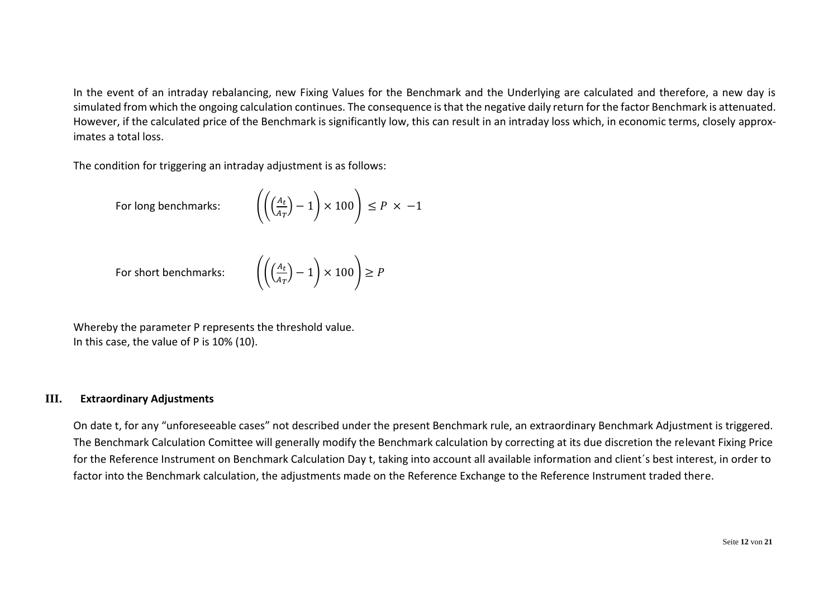In the event of an intraday rebalancing, new Fixing Values for the Benchmark and the Underlying are calculated and therefore, a new day is simulated from which the ongoing calculation continues. The consequence is that the negative daily return for the factor Benchmark is attenuated. However, if the calculated price of the Benchmark is significantly low, this can result in an intraday loss which, in economic terms, closely approximates a total loss.

The condition for triggering an intraday adjustment is as follows:

For long benchmarks:

$$
\left( \left( \left( \frac{A_t}{A_T} \right) - 1 \right) \times 100 \right) \le P \times -1
$$

For short benchmarks:

$$
\left( \left( \frac{A_t}{A_T} \right) - 1 \right) \times 100 \right) \ge P
$$

Whereby the parameter P represents the threshold value. In this case, the value of P is 10% (10).

### <span id="page-11-0"></span>**III. Extraordinary Adjustments**

On date t, for any "unforeseeable cases" not described under the present Benchmark rule, an extraordinary Benchmark Adjustment is triggered. The Benchmark Calculation Comittee will generally modify the Benchmark calculation by correcting at its due discretion the relevant Fixing Price for the Reference Instrument on Benchmark Calculation Day t, taking into account all available information and client´s best interest, in order to factor into the Benchmark calculation, the adjustments made on the Reference Exchange to the Reference Instrument traded there.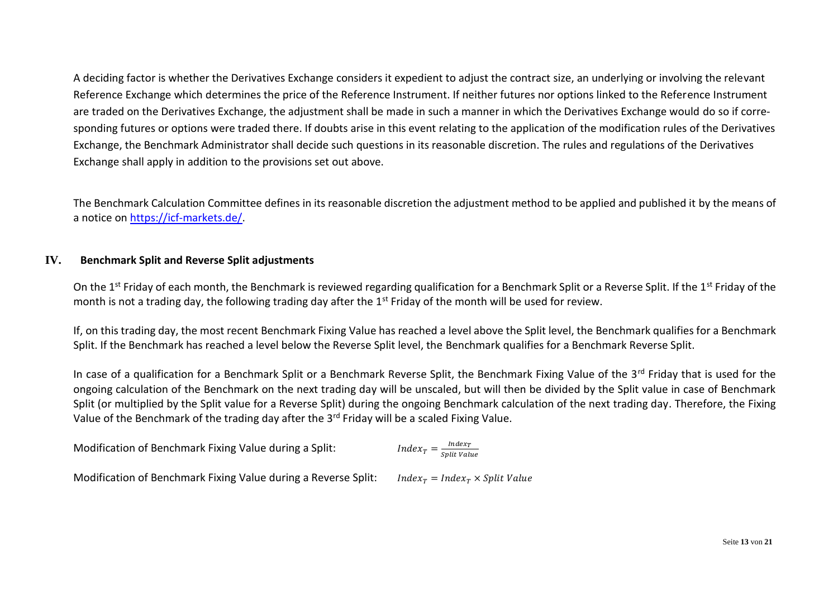A deciding factor is whether the Derivatives Exchange considers it expedient to adjust the contract size, an underlying or involving the relevant Reference Exchange which determines the price of the Reference Instrument. If neither futures nor options linked to the Reference Instrument are traded on the Derivatives Exchange, the adjustment shall be made in such a manner in which the Derivatives Exchange would do so if corresponding futures or options were traded there. If doubts arise in this event relating to the application of the modification rules of the Derivatives Exchange, the Benchmark Administrator shall decide such questions in its reasonable discretion. The rules and regulations of the Derivatives Exchange shall apply in addition to the provisions set out above.

The Benchmark Calculation Committee defines in its reasonable discretion the adjustment method to be applied and published it by the means of a notice on [https://icf-markets.de/.](https://icf-markets.de/)

### <span id="page-12-0"></span>**IV. Benchmark Split and Reverse Split adjustments**

On the 1<sup>st</sup> Friday of each month, the Benchmark is reviewed regarding qualification for a Benchmark Split or a Reverse Split. If the 1<sup>st</sup> Friday of the month is not a trading day, the following trading day after the  $1<sup>st</sup>$  Friday of the month will be used for review.

If, on this trading day, the most recent Benchmark Fixing Value has reached a level above the Split level, the Benchmark qualifies for a Benchmark Split. If the Benchmark has reached a level below the Reverse Split level, the Benchmark qualifies for a Benchmark Reverse Split.

In case of a qualification for a Benchmark Split or a Benchmark Reverse Split, the Benchmark Fixing Value of the 3rd Friday that is used for the ongoing calculation of the Benchmark on the next trading day will be unscaled, but will then be divided by the Split value in case of Benchmark Split (or multiplied by the Split value for a Reverse Split) during the ongoing Benchmark calculation of the next trading day. Therefore, the Fixing Value of the Benchmark of the trading day after the 3<sup>rd</sup> Friday will be a scaled Fixing Value.

| Modification of Benchmark Fixing Value during a Split: | $Index_T = \frac{Index_T}{split \, Value}$ |
|--------------------------------------------------------|--------------------------------------------|
|                                                        |                                            |

Modification of Benchmark Fixing Value during a Reverse Split: *Index<sub>T</sub>* = Index<sub>T</sub> × Split Value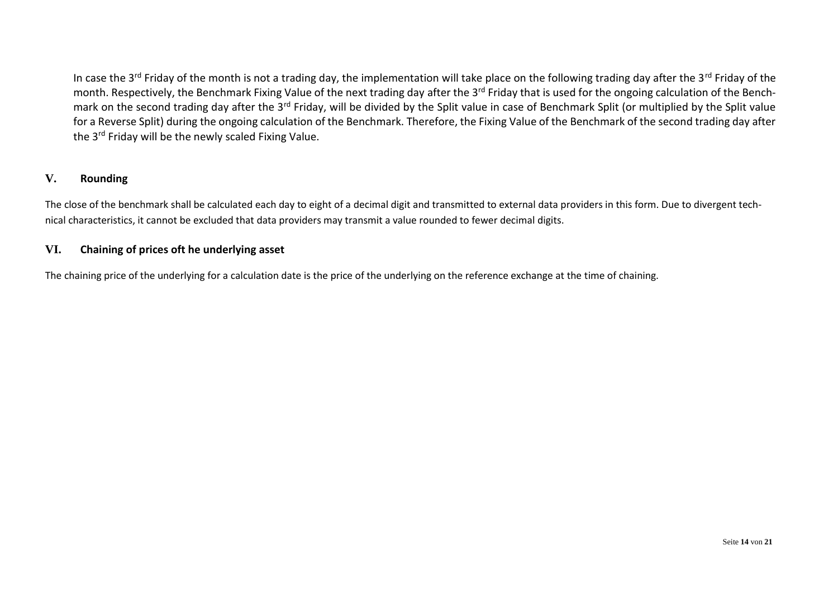In case the 3<sup>rd</sup> Friday of the month is not a trading day, the implementation will take place on the following trading day after the 3<sup>rd</sup> Friday of the month. Respectively, the Benchmark Fixing Value of the next trading day after the 3<sup>rd</sup> Friday that is used for the ongoing calculation of the Benchmark on the second trading day after the 3<sup>rd</sup> Friday, will be divided by the Split value in case of Benchmark Split (or multiplied by the Split value for a Reverse Split) during the ongoing calculation of the Benchmark. Therefore, the Fixing Value of the Benchmark of the second trading day after the 3<sup>rd</sup> Friday will be the newly scaled Fixing Value.

### <span id="page-13-0"></span>**V. Rounding**

The close of the benchmark shall be calculated each day to eight of a decimal digit and transmitted to external data providers in this form. Due to divergent technical characteristics, it cannot be excluded that data providers may transmit a value rounded to fewer decimal digits.

### <span id="page-13-1"></span>**VI. Chaining of prices oft he underlying asset**

The chaining price of the underlying for a calculation date is the price of the underlying on the reference exchange at the time of chaining.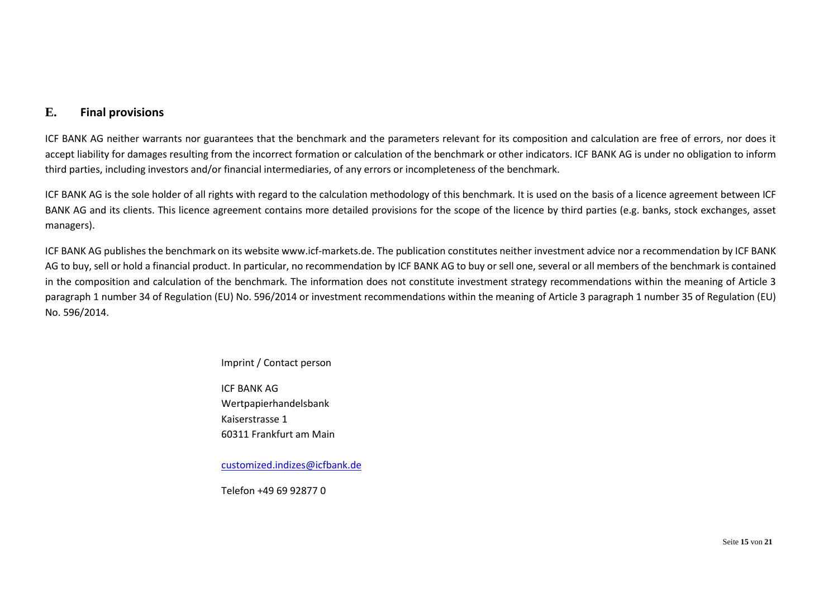### <span id="page-14-0"></span>**E. Final provisions**

ICF BANK AG neither warrants nor guarantees that the benchmark and the parameters relevant for its composition and calculation are free of errors, nor does it accept liability for damages resulting from the incorrect formation or calculation of the benchmark or other indicators. ICF BANK AG is under no obligation to inform third parties, including investors and/or financial intermediaries, of any errors or incompleteness of the benchmark.

ICF BANK AG is the sole holder of all rights with regard to the calculation methodology of this benchmark. It is used on the basis of a licence agreement between ICF BANK AG and its clients. This licence agreement contains more detailed provisions for the scope of the licence by third parties (e.g. banks, stock exchanges, asset managers).

ICF BANK AG publishes the benchmark on its website www.icf-markets.de. The publication constitutes neither investment advice nor a recommendation by ICF BANK AG to buy, sell or hold a financial product. In particular, no recommendation by ICF BANK AG to buy or sell one, several or all members of the benchmark is contained in the composition and calculation of the benchmark. The information does not constitute investment strategy recommendations within the meaning of Article 3 paragraph 1 number 34 of Regulation (EU) No. 596/2014 or investment recommendations within the meaning of Article 3 paragraph 1 number 35 of Regulation (EU) No. 596/2014.

Imprint / Contact person

ICF BANK AG Wertpapierhandelsbank Kaiserstrasse 1 60311 Frankfurt am Main

[customized.indizes@icfbank.de](mailto:customized.indizes@icfbank.de)

Telefon +49 69 92877 0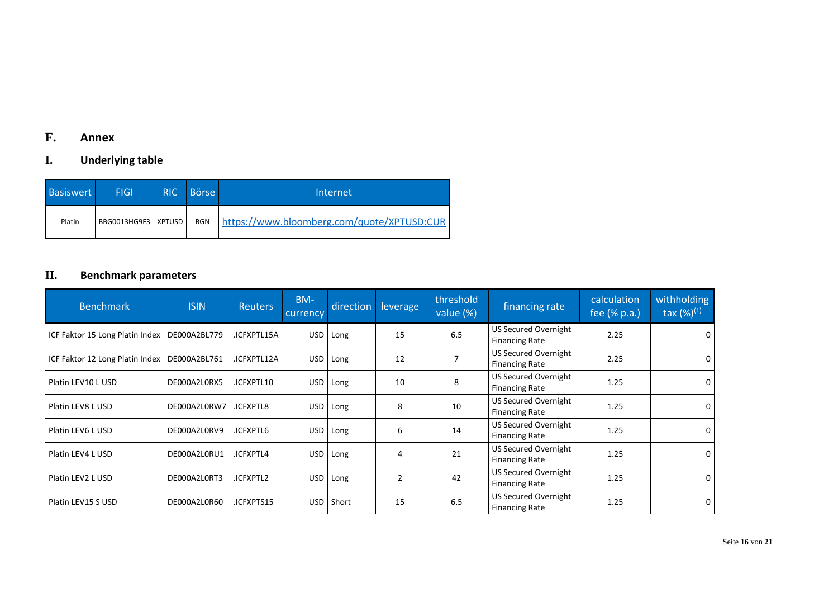# <span id="page-15-0"></span>**F. Annex**

# <span id="page-15-1"></span>**I. Underlying table**

| <b>Basiswert</b> | <b>FIGI</b>           | <b>RIC</b> | Börse l    | Internet                                   |
|------------------|-----------------------|------------|------------|--------------------------------------------|
| Platin           | BBG0013HG9F3   XPTUSD |            | <b>BGN</b> | https://www.bloomberg.com/quote/XPTUSD:CUR |

# <span id="page-15-2"></span>**II. Benchmark parameters**

| <b>Benchmark</b>                               | <b>ISIN</b>  | <b>Reuters</b> | BM-<br>currency | direction | leverage       | threshold<br>value (%) | financing rate                                | calculation<br>fee (% p.a.) | withholding<br>tax $(%)^{(1)}$ |
|------------------------------------------------|--------------|----------------|-----------------|-----------|----------------|------------------------|-----------------------------------------------|-----------------------------|--------------------------------|
| ICF Faktor 15 Long Platin Index   DE000A2BL779 |              | .ICFXPTL15A    | USD             | Long      | 15             | 6.5                    | US Secured Overnight<br><b>Financing Rate</b> | 2.25                        | 0                              |
| ICF Faktor 12 Long Platin Index   DE000A2BL761 |              | .ICFXPTL12A    | USD             | Long      | 12             |                        | US Secured Overnight<br><b>Financing Rate</b> | 2.25                        | 0                              |
| Platin LEV10 L USD                             | DE000A2L0RX5 | .ICFXPTL10     | <b>USD</b>      | Long      | 10             | 8                      | US Secured Overnight<br><b>Financing Rate</b> | 1.25                        | 0                              |
| Platin LEV8 L USD                              | DE000A2L0RW7 | ICFXPTL8       | USD             | Long      | 8              | 10                     | US Secured Overnight<br><b>Financing Rate</b> | 1.25                        | 0                              |
| Platin LEV6 L USD                              | DE000A2L0RV9 | .ICFXPTL6      | USD             | Long      | 6              | 14                     | US Secured Overnight<br><b>Financing Rate</b> | 1.25                        | 0                              |
| Platin LEV4 L USD                              | DE000A2L0RU1 | .ICFXPTL4      | <b>USD</b>      | Long      | 4              | 21                     | US Secured Overnight<br><b>Financing Rate</b> | 1.25                        | 0                              |
| Platin LEV2 L USD                              | DE000A2L0RT3 | .ICFXPTL2      | USD             | Long      | $\overline{2}$ | 42                     | US Secured Overnight<br><b>Financing Rate</b> | 1.25                        | 0                              |
| Platin LEV15 S USD                             | DE000A2L0R60 | .ICFXPTS15     | <b>USD</b>      | Short     | 15             | 6.5                    | US Secured Overnight<br><b>Financing Rate</b> | 1.25                        | 0                              |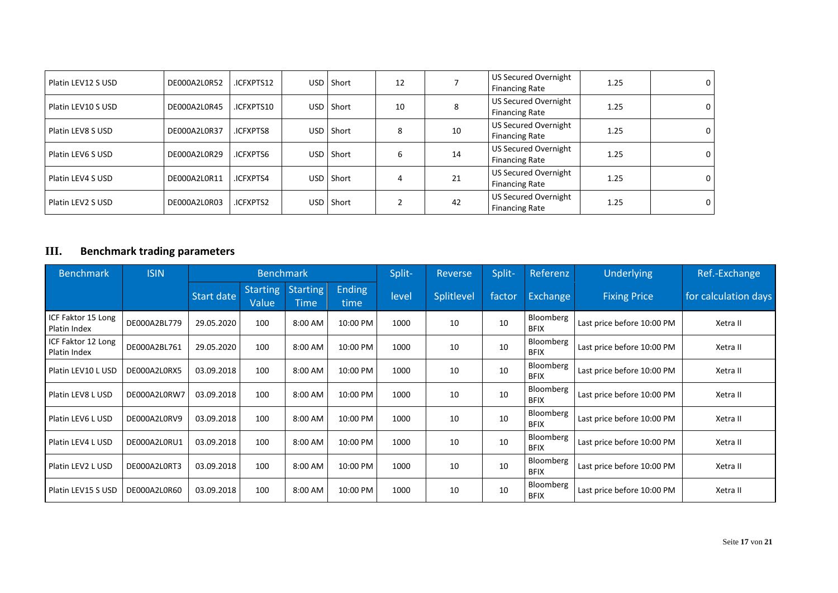| Platin LEV12 S USD | DE000A2L0R52 | .ICFXPTS12      | USD. | Short        | 12 |    | US Secured Overnight<br><b>Financing Rate</b>        | 1.25 | $\mathbf 0$ |
|--------------------|--------------|-----------------|------|--------------|----|----|------------------------------------------------------|------|-------------|
| Platin LEV10 S USD | DE000A2L0R45 | .ICFXPTS10      | USD  | Short        | 10 | 8  | US Secured Overnight<br><b>Financing Rate</b>        | 1.25 | 0           |
| Platin LEV8 S USD  | DE000A2L0R37 | <b>ICFXPTS8</b> | USD  | Short        | 8  | 10 | US Secured Overnight<br><b>Financing Rate</b>        | 1.25 | $\mathbf 0$ |
| Platin LEV6 S USD  | DE000A2L0R29 | .ICFXPTS6       | USD. | Short        | 6  | 14 | US Secured Overnight<br><b>Financing Rate</b>        | 1.25 | $\mathbf 0$ |
| Platin LEV4 S USD  | DE000A2L0R11 | .ICFXPTS4       |      | USD Short    | 4  | 21 | <b>US Secured Overnight</b><br><b>Financing Rate</b> | 1.25 | $\mathbf 0$ |
| Platin LEV2 S USD  | DE000A2L0R03 | .ICFXPTS2       | USD  | <b>Short</b> |    | 42 | US Secured Overnight<br><b>Financing Rate</b>        | 1.25 | $\mathbf 0$ |

# <span id="page-16-0"></span>**III. Benchmark trading parameters**

| <b>Benchmark</b>                   | <b>ISIN</b>  | <b>Benchmark</b> |                          |                         |                       | Split- | Reverse    | Split- | Referenz                 | Underlying                 | Ref.-Exchange        |
|------------------------------------|--------------|------------------|--------------------------|-------------------------|-----------------------|--------|------------|--------|--------------------------|----------------------------|----------------------|
|                                    |              | Start date       | <b>Starting</b><br>Value | <b>Starting</b><br>Time | <b>Ending</b><br>time | level  | Splitlevel | factor | <b>Exchange</b>          | <b>Fixing Price</b>        | for calculation days |
| ICF Faktor 15 Long<br>Platin Index | DE000A2BL779 | 29.05.2020       | 100                      | 8:00 AM                 | 10:00 PM              | 1000   | 10         | 10     | Bloomberg<br><b>BFIX</b> | Last price before 10:00 PM | Xetra II             |
| ICF Faktor 12 Long<br>Platin Index | DE000A2BL761 | 29.05.2020       | 100                      | 8:00 AM                 | 10:00 PM              | 1000   | 10         | 10     | Bloomberg<br><b>BFIX</b> | Last price before 10:00 PM | Xetra II             |
| Platin LEV10 L USD                 | DE000A2L0RX5 | 03.09.2018       | 100                      | 8:00 AM                 | 10:00 PM              | 1000   | 10         | 10     | Bloomberg<br><b>BFIX</b> | Last price before 10:00 PM | Xetra II             |
| Platin LEV8 L USD                  | DE000A2L0RW7 | 03.09.2018       | 100                      | 8:00 AM                 | 10:00 PM              | 1000   | 10         | 10     | Bloomberg<br><b>BFIX</b> | Last price before 10:00 PM | Xetra II             |
| Platin LEV6 L USD                  | DE000A2L0RV9 | 03.09.2018       | 100                      | 8:00 AM                 | 10:00 PM              | 1000   | 10         | 10     | Bloomberg<br><b>BFIX</b> | Last price before 10:00 PM | Xetra II             |
| Platin LEV4 L USD                  | DE000A2L0RU1 | 03.09.2018       | 100                      | 8:00 AM                 | 10:00 PM              | 1000   | 10         | 10     | Bloomberg<br><b>BFIX</b> | Last price before 10:00 PM | Xetra II             |
| Platin LEV2 L USD                  | DE000A2L0RT3 | 03.09.2018       | 100                      | 8:00 AM                 | 10:00 PM              | 1000   | 10         | 10     | Bloomberg<br><b>BFIX</b> | Last price before 10:00 PM | Xetra II             |
| Platin LEV15 S USD                 | DE000A2L0R60 | 03.09.2018       | 100                      | 8:00 AM                 | 10:00 PM              | 1000   | 10         | 10     | Bloomberg<br><b>BFIX</b> | Last price before 10:00 PM | Xetra II             |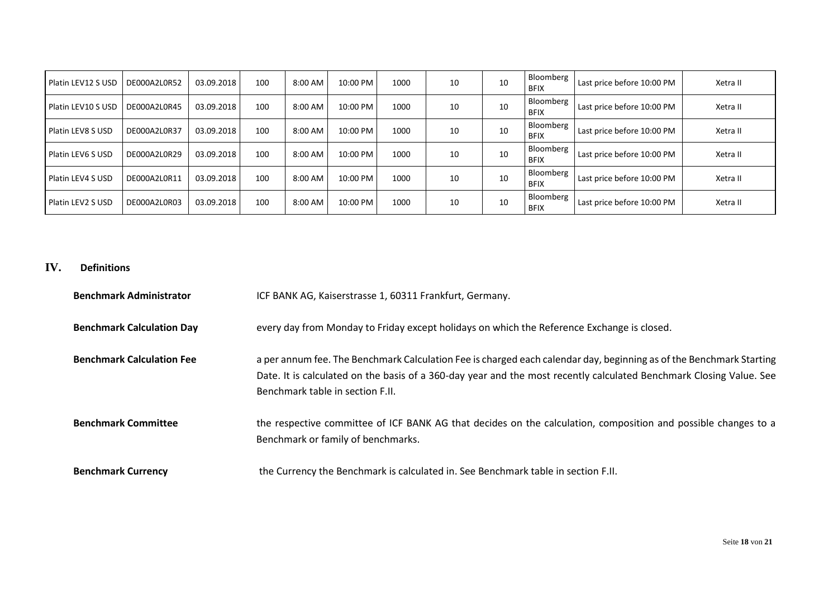| Platin LEV12 S USD  | DE000A2L0R52 | 03.09.2018 | 100 | 8:00 AM   | 10:00 PM | 1000 | 10 | 10 | I Bloomberg<br><b>BFIX</b>      | Last price before 10:00 PM | Xetra II |
|---------------------|--------------|------------|-----|-----------|----------|------|----|----|---------------------------------|----------------------------|----------|
| Platin LEV10 S USD  | DE000A2L0R45 | 03.09.2018 | 100 | 8:00 AM   | 10:00 PM | 1000 | 10 | 10 | Bloomberg<br><b>BFIX</b>        | Last price before 10:00 PM | Xetra II |
| l Platin LEV8 S USD | DE000A2L0R37 | 03.09.2018 | 100 | 8:00 AM   | 10:00 PM | 1000 | 10 | 10 | Bloomberg<br><b>BFIX</b>        | Last price before 10:00 PM | Xetra II |
| l Platin LEV6 S USD | DE000A2L0R29 | 03.09.2018 | 100 | $8:00$ AM | 10:00 PM | 1000 | 10 | 10 | <b>Bloomberg</b><br><b>BFIX</b> | Last price before 10:00 PM | Xetra II |
| Platin LEV4 S USD   | DE000A2L0R11 | 03.09.2018 | 100 | 8:00 AM   | 10:00 PM | 1000 | 10 | 10 | Bloomberg<br><b>BFIX</b>        | Last price before 10:00 PM | Xetra II |
| l Platin LEV2 S USD | DE000A2L0R03 | 03.09.2018 | 100 | 8:00 AM   | 10:00 PM | 1000 | 10 | 10 | Bloomberg<br><b>BFIX</b>        | Last price before 10:00 PM | Xetra II |

### <span id="page-17-0"></span>**IV. Definitions**

| <b>Benchmark Administrator</b>   | ICF BANK AG, Kaiserstrasse 1, 60311 Frankfurt, Germany.                                                                                                                                                                                                                        |
|----------------------------------|--------------------------------------------------------------------------------------------------------------------------------------------------------------------------------------------------------------------------------------------------------------------------------|
| <b>Benchmark Calculation Day</b> | every day from Monday to Friday except holidays on which the Reference Exchange is closed.                                                                                                                                                                                     |
| <b>Benchmark Calculation Fee</b> | a per annum fee. The Benchmark Calculation Fee is charged each calendar day, beginning as of the Benchmark Starting<br>Date. It is calculated on the basis of a 360-day year and the most recently calculated Benchmark Closing Value. See<br>Benchmark table in section F.II. |
| <b>Benchmark Committee</b>       | the respective committee of ICF BANK AG that decides on the calculation, composition and possible changes to a<br>Benchmark or family of benchmarks.                                                                                                                           |
| <b>Benchmark Currency</b>        | the Currency the Benchmark is calculated in. See Benchmark table in section F.II.                                                                                                                                                                                              |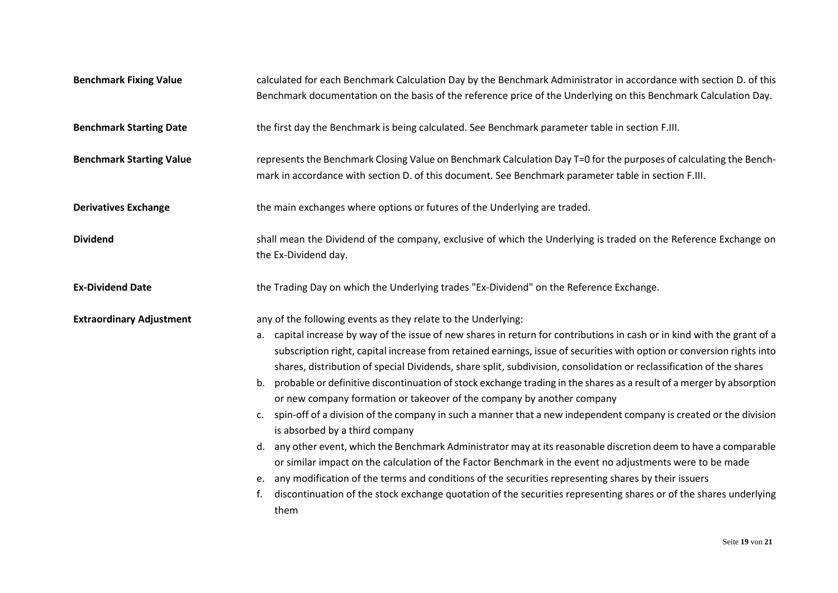| <b>Benchmark Fixing Value</b>   | calculated for each Benchmark Calculation Day by the Benchmark Administrator in accordance with section D. of this<br>Benchmark documentation on the basis of the reference price of the Underlying on this Benchmark Calculation Day.                                                                                                                                                                                                                                                                   |
|---------------------------------|----------------------------------------------------------------------------------------------------------------------------------------------------------------------------------------------------------------------------------------------------------------------------------------------------------------------------------------------------------------------------------------------------------------------------------------------------------------------------------------------------------|
| <b>Benchmark Starting Date</b>  | the first day the Benchmark is being calculated. See Benchmark parameter table in section F.III.                                                                                                                                                                                                                                                                                                                                                                                                         |
| <b>Benchmark Starting Value</b> | represents the Benchmark Closing Value on Benchmark Calculation Day T=0 for the purposes of calculating the Bench-<br>mark in accordance with section D. of this document. See Benchmark parameter table in section F.III.                                                                                                                                                                                                                                                                               |
| <b>Derivatives Exchange</b>     | the main exchanges where options or futures of the Underlying are traded.                                                                                                                                                                                                                                                                                                                                                                                                                                |
| <b>Dividend</b>                 | shall mean the Dividend of the company, exclusive of which the Underlying is traded on the Reference Exchange on<br>the Ex-Dividend day.                                                                                                                                                                                                                                                                                                                                                                 |
| <b>Ex-Dividend Date</b>         | the Trading Day on which the Underlying trades "Ex-Dividend" on the Reference Exchange.                                                                                                                                                                                                                                                                                                                                                                                                                  |
| <b>Extraordinary Adjustment</b> | any of the following events as they relate to the Underlying:                                                                                                                                                                                                                                                                                                                                                                                                                                            |
|                                 | a. capital increase by way of the issue of new shares in return for contributions in cash or in kind with the grant of a<br>subscription right, capital increase from retained earnings, issue of securities with option or conversion rights into<br>shares, distribution of special Dividends, share split, subdivision, consolidation or reclassification of the shares<br>probable or definitive discontinuation of stock exchange trading in the shares as a result of a merger by absorption<br>b. |
|                                 | or new company formation or takeover of the company by another company                                                                                                                                                                                                                                                                                                                                                                                                                                   |
|                                 | spin-off of a division of the company in such a manner that a new independent company is created or the division<br>is absorbed by a third company                                                                                                                                                                                                                                                                                                                                                       |
|                                 | d. any other event, which the Benchmark Administrator may at its reasonable discretion deem to have a comparable<br>or similar impact on the calculation of the Factor Benchmark in the event no adjustments were to be made                                                                                                                                                                                                                                                                             |
|                                 | any modification of the terms and conditions of the securities representing shares by their issuers<br>e.                                                                                                                                                                                                                                                                                                                                                                                                |
|                                 | discontinuation of the stock exchange quotation of the securities representing shares or of the shares underlying<br>f.<br>them                                                                                                                                                                                                                                                                                                                                                                          |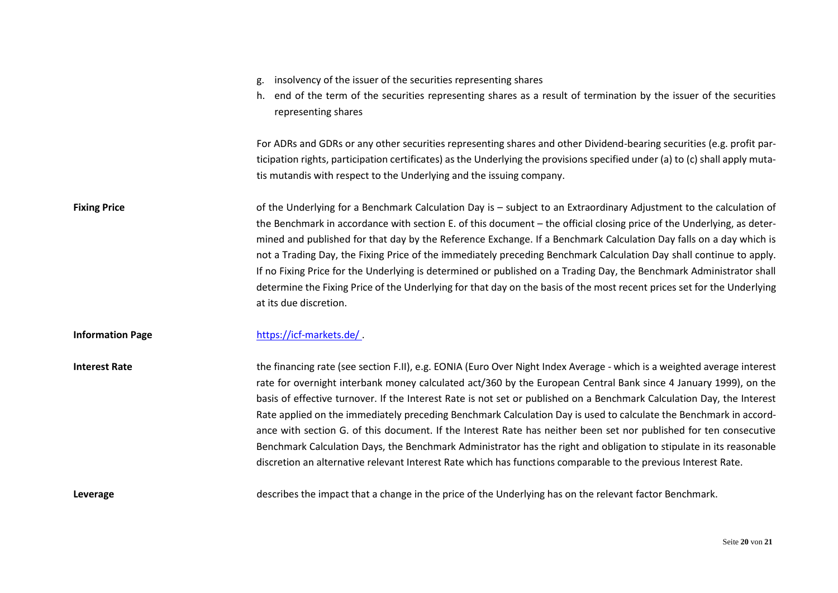| g. insolvency of the issuer of the securities representing shares                                                   |
|---------------------------------------------------------------------------------------------------------------------|
| h. end of the term of the securities representing shares as a result of termination by the issuer of the securities |

representing shares

For ADRs and GDRs or any other securities representing shares and other Dividend-bearing securities (e.g. profit participation rights, participation certificates) as the Underlying the provisions specified under (a) to (c) shall apply mutatis mutandis with respect to the Underlying and the issuing company.

Fixing Price **Extraordinary Adjustment to the calculation** of the Underlying for a Benchmark Calculation Day is – subject to an Extraordinary Adjustment to the calculation of the Benchmark in accordance with section E. of this document – the official closing price of the Underlying, as determined and published for that day by the Reference Exchange. If a Benchmark Calculation Day falls on a day which is not a Trading Day, the Fixing Price of the immediately preceding Benchmark Calculation Day shall continue to apply. If no Fixing Price for the Underlying is determined or published on a Trading Day, the Benchmark Administrator shall determine the Fixing Price of the Underlying for that day on the basis of the most recent prices set for the Underlying at its due discretion.

### **Information Page** <https://icf-markets.de/>

Interest Rate **the financing rate (see section F.II), e.g. EONIA (Euro Over Night Index Average - which is a weighted average interest** rate for overnight interbank money calculated act/360 by the European Central Bank since 4 January 1999), on the basis of effective turnover. If the Interest Rate is not set or published on a Benchmark Calculation Day, the Interest Rate applied on the immediately preceding Benchmark Calculation Day is used to calculate the Benchmark in accordance with section G. of this document. If the Interest Rate has neither been set nor published for ten consecutive Benchmark Calculation Days, the Benchmark Administrator has the right and obligation to stipulate in its reasonable discretion an alternative relevant Interest Rate which has functions comparable to the previous Interest Rate.

**Leverage** describes the impact that a change in the price of the Underlying has on the relevant factor Benchmark.